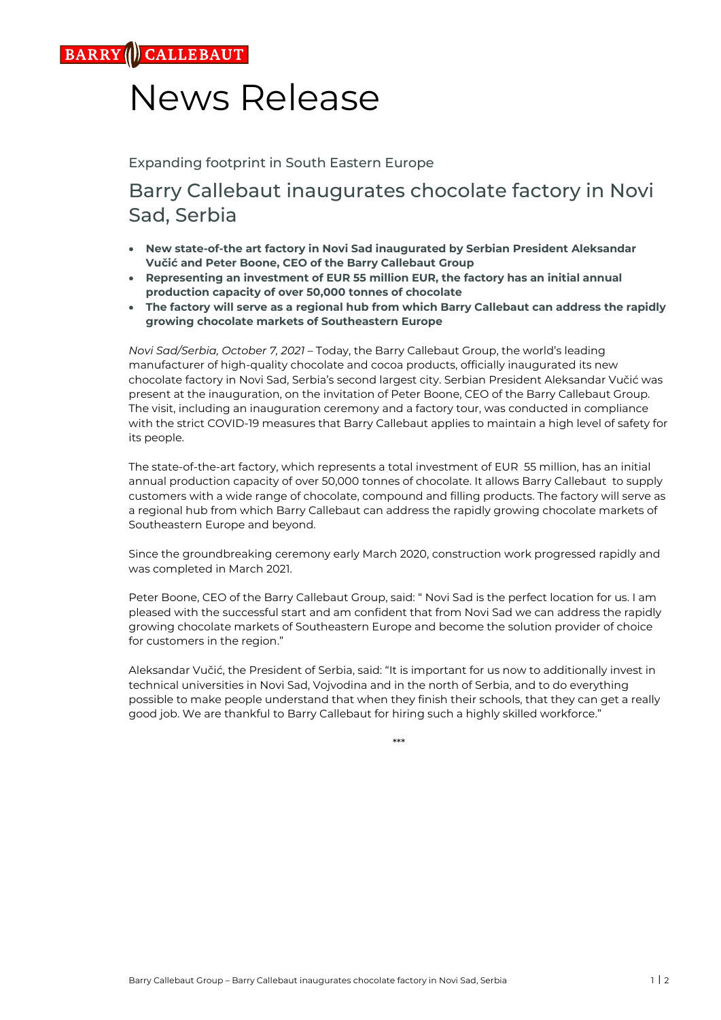**CALLEBAUT** 

## News Release

Expanding footprint in South Eastern Europe

## Barry Callebaut inaugurates chocolate factory in Novi Sad, Serbia

- **New state-of-the art factory in Novi Sad inaugurated by Serbian President Aleksandar Vučić and Peter Boone, CEO of the Barry Callebaut Group**
- **Representing an investment of EUR 55 million EUR, the factory has an initial annual production capacity of over 50,000 tonnes of chocolate**
- **The factory will serve as a regional hub from which Barry Callebaut can address the rapidly growing chocolate markets of Southeastern Europe**

*Novi Sad/Serbia, October 7, 2021* – Today, the Barry Callebaut Group, the world's leading manufacturer of high-quality chocolate and cocoa products, officially inaugurated its new chocolate factory in Novi Sad, Serbia's second largest city. Serbian President Aleksandar Vučić was present at the inauguration, on the invitation of Peter Boone, CEO of the Barry Callebaut Group. The visit, including an inauguration ceremony and a factory tour, was conducted in compliance with the strict COVID-19 measures that Barry Callebaut applies to maintain a high level of safety for its people.

The state-of-the-art factory, which represents a total investment of EUR 55 million, has an initial annual production capacity of over 50,000 tonnes of chocolate. It allows Barry Callebaut to supply customers with a wide range of chocolate, compound and filling products. The factory will serve as a regional hub from which Barry Callebaut can address the rapidly growing chocolate markets of Southeastern Europe and beyond.

Since the groundbreaking ceremony early March 2020, construction work progressed rapidly and was completed in March 2021.

Peter Boone, CEO of the Barry Callebaut Group, said: " Novi Sad is the perfect location for us. I am pleased with the successful start and am confident that from Novi Sad we can address the rapidly growing chocolate markets of Southeastern Europe and become the solution provider of choice for customers in the region."

Aleksandar Vučić, the President of Serbia, said: "It is important for us now to additionally invest in technical universities in Novi Sad, Vojvodina and in the north of Serbia, and to do everything possible to make people understand that when they finish their schools, that they can get a really good job. We are thankful to Barry Callebaut for hiring such a highly skilled workforce."

\*\*\*